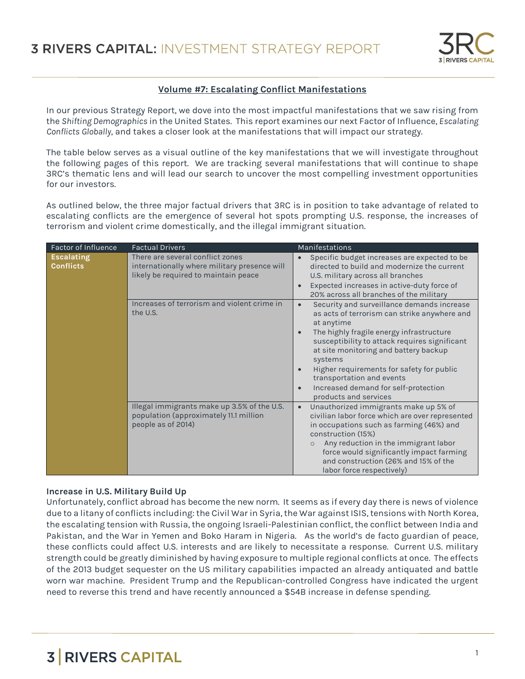

### **Volume #7: Escalating Conflict Manifestations**

In our previous Strategy Report, we dove into the most impactful manifestations that we saw rising from the *Shifting Demographics* in the United States. This report examines our next Factor of Influence, *Escalating Conflicts Globally*, and takes a closer look at the manifestations that will impact our strategy.

The table below serves as a visual outline of the key manifestations that we will investigate throughout the following pages of this report. We are tracking several manifestations that will continue to shape 3RC's thematic lens and will lead our search to uncover the most compelling investment opportunities for our investors.

As outlined below, the three major factual drivers that 3RC is in position to take advantage of related to escalating conflicts are the emergence of several hot spots prompting U.S. response, the increases of terrorism and violent crime domestically, and the illegal immigrant situation.

| Factor of Influence                   | <b>Factual Drivers</b>                                                                                                   | <b>Manifestations</b>                                                                                                                                                                                                                                                                                                                                                                                                                                    |
|---------------------------------------|--------------------------------------------------------------------------------------------------------------------------|----------------------------------------------------------------------------------------------------------------------------------------------------------------------------------------------------------------------------------------------------------------------------------------------------------------------------------------------------------------------------------------------------------------------------------------------------------|
| <b>Escalating</b><br><b>Conflicts</b> | There are several conflict zones<br>internationally where military presence will<br>likely be required to maintain peace | Specific budget increases are expected to be<br>$\bullet$<br>directed to build and modernize the current<br>U.S. military across all branches<br>Expected increases in active-duty force of<br>$\bullet$<br>20% across all branches of the military                                                                                                                                                                                                      |
|                                       | Increases of terrorism and violent crime in<br>the U.S.                                                                  | Security and surveillance demands increase<br>$\bullet$<br>as acts of terrorism can strike anywhere and<br>at anytime<br>The highly fragile energy infrastructure<br>$\bullet$<br>susceptibility to attack requires significant<br>at site monitoring and battery backup<br>systems<br>Higher requirements for safety for public<br>$\bullet$<br>transportation and events<br>Increased demand for self-protection<br>$\bullet$<br>products and services |
|                                       | Illegal immigrants make up 3.5% of the U.S.<br>population (approximately 11.1 million<br>people as of 2014)              | Unauthorized immigrants make up 5% of<br>$\bullet$<br>civilian labor force which are over represented<br>in occupations such as farming (46%) and<br>construction (15%)<br>Any reduction in the immigrant labor<br>$\circ$<br>force would significantly impact farming<br>and construction (26% and 15% of the<br>labor force respectively)                                                                                                              |

#### **Increase in U.S. Military Build Up**

Unfortunately, conflict abroad has become the new norm. It seems as if every day there is news of violence due to a litany of conflicts including: the Civil War in Syria, the War against ISIS, tensions with North Korea, the escalating tension with Russia, the ongoing Israeli-Palestinian conflict, the conflict between India and Pakistan, and the War in Yemen and Boko Haram in Nigeria. As the world's de facto guardian of peace, these conflicts could affect U.S. interests and are likely to necessitate a response. Current U.S. military strength could be greatly diminished by having exposure to multiple regional conflicts at once. The effects of the 2013 budget sequester on the US military capabilities impacted an already antiquated and battle worn war machine. President Trump and the Republican-controlled Congress have indicated the urgent need to reverse this trend and have recently announced a \$54B increase in defense spending.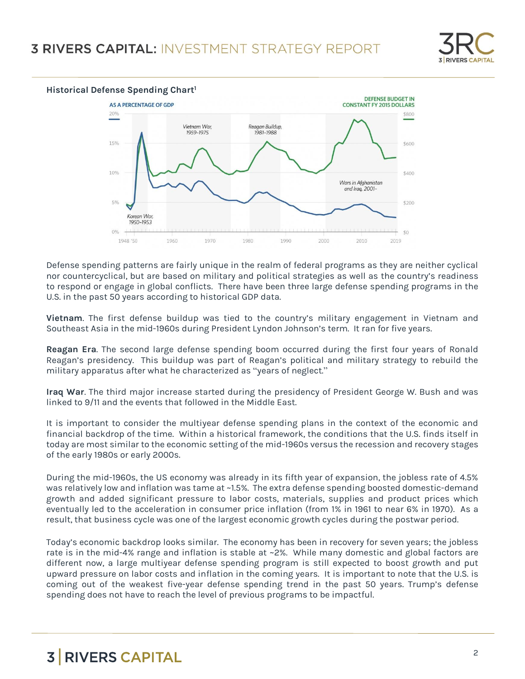



Defense spending patterns are fairly unique in the realm of federal programs as they are neither cyclical nor countercyclical, but are based on military and political strategies as well as the country's readiness to respond or engage in global conflicts. There have been three large defense spending programs in the U.S. in the past 50 years according to historical GDP data.

**Vietnam**. The first defense buildup was tied to the country's military engagement in Vietnam and Southeast Asia in the mid-1960s during President Lyndon Johnson's term. It ran for five years.

**Reagan Era**. The second large defense spending boom occurred during the first four years of Ronald Reagan's presidency. This buildup was part of Reagan's political and military strategy to rebuild the military apparatus after what he characterized as "years of neglect."

**Iraq War**. The third major increase started during the presidency of President George W. Bush and was linked to 9/11 and the events that followed in the Middle East.

It is important to consider the multiyear defense spending plans in the context of the economic and financial backdrop of the time. Within a historical framework, the conditions that the U.S. finds itself in today are most similar to the economic setting of the mid-1960s versus the recession and recovery stages of the early 1980s or early 2000s.

During the mid-1960s, the US economy was already in its fifth year of expansion, the jobless rate of 4.5% was relatively low and inflation was tame at ~1.5%. The extra defense spending boosted domestic-demand growth and added significant pressure to labor costs, materials, supplies and product prices which eventually led to the acceleration in consumer price inflation (from 1% in 1961 to near 6% in 1970). As a result, that business cycle was one of the largest economic growth cycles during the postwar period.

Today's economic backdrop looks similar. The economy has been in recovery for seven years; the jobless rate is in the mid-4% range and inflation is stable at ~2%. While many domestic and global factors are different now, a large multiyear defense spending program is still expected to boost growth and put upward pressure on labor costs and inflation in the coming years. It is important to note that the U.S. is coming out of the weakest five-year defense spending trend in the past 50 years. Trump's defense spending does not have to reach the level of previous programs to be impactful.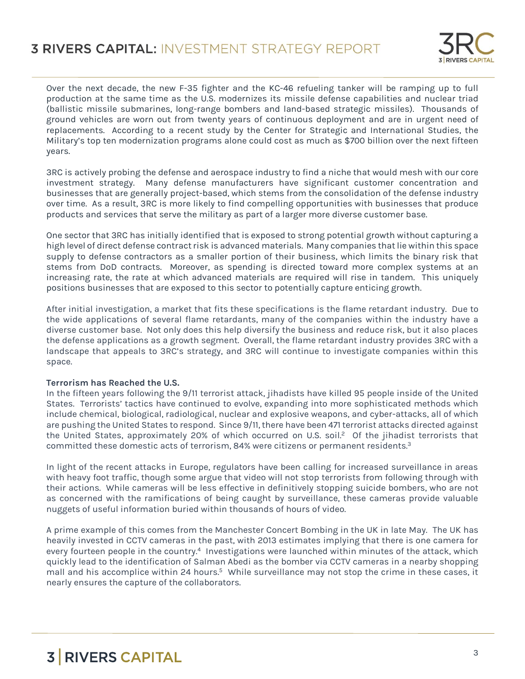

Over the next decade, the new F-35 fighter and the KC-46 refueling tanker will be ramping up to full production at the same time as the U.S. modernizes its missile defense capabilities and nuclear triad (ballistic missile submarines, long-range bombers and land-based strategic missiles). Thousands of ground vehicles are worn out from twenty years of continuous deployment and are in urgent need of replacements. According to a recent study by the Center for Strategic and International Studies, the Military's top ten modernization programs alone could cost as much as \$700 billion over the next fifteen years.

3RC is actively probing the defense and aerospace industry to find a niche that would mesh with our core investment strategy. Many defense manufacturers have significant customer concentration and businesses that are generally project-based, which stems from the consolidation of the defense industry over time. As a result, 3RC is more likely to find compelling opportunities with businesses that produce products and services that serve the military as part of a larger more diverse customer base.

One sector that 3RC has initially identified that is exposed to strong potential growth without capturing a high level of direct defense contract risk is advanced materials. Many companies that lie within this space supply to defense contractors as a smaller portion of their business, which limits the binary risk that stems from DoD contracts. Moreover, as spending is directed toward more complex systems at an increasing rate, the rate at which advanced materials are required will rise in tandem. This uniquely positions businesses that are exposed to this sector to potentially capture enticing growth.

After initial investigation, a market that fits these specifications is the flame retardant industry. Due to the wide applications of several flame retardants, many of the companies within the industry have a diverse customer base. Not only does this help diversify the business and reduce risk, but it also places the defense applications as a growth segment. Overall, the flame retardant industry provides 3RC with a landscape that appeals to 3RC's strategy, and 3RC will continue to investigate companies within this space.

### **Terrorism has Reached the U.S.**

In the fifteen years following the 9/11 terrorist attack, jihadists have killed 95 people inside of the United States. Terrorists' tactics have continued to evolve, expanding into more sophisticated methods which include chemical, biological, radiological, nuclear and explosive weapons, and cyber-attacks, all of which are pushing the United States to respond. Since 9/11, there have been 471 terrorist attacks directed against the United States, approximately 20% of which occurred on U.S. soil.<sup>2</sup> Of the jihadist terrorists that committed these domestic acts of terrorism, 84% were citizens or permanent residents.<sup>3</sup>

In light of the recent attacks in Europe, regulators have been calling for increased surveillance in areas with heavy foot traffic, though some argue that video will not stop terrorists from following through with their actions. While cameras will be less effective in definitively stopping suicide bombers, who are not as concerned with the ramifications of being caught by surveillance, these cameras provide valuable nuggets of useful information buried within thousands of hours of video.

A prime example of this comes from the Manchester Concert Bombing in the UK in late May. The UK has heavily invested in CCTV cameras in the past, with 2013 estimates implying that there is one camera for every fourteen people in the country.<sup>4</sup> Investigations were launched within minutes of the attack, which quickly lead to the identification of Salman Abedi as the bomber via CCTV cameras in a nearby shopping mall and his accomplice within 24 hours.<sup>5</sup> While surveillance may not stop the crime in these cases, it nearly ensures the capture of the collaborators.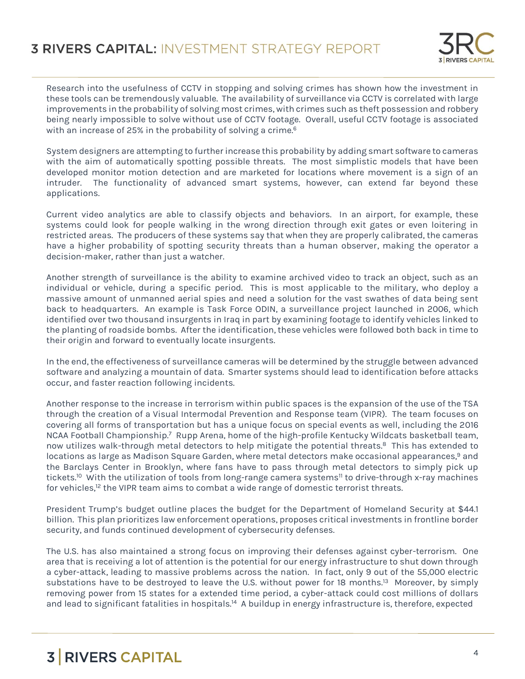

Research into the usefulness of CCTV in stopping and solving crimes has shown how the investment in these tools can be tremendously valuable. The availability of surveillance via CCTV is correlated with large improvements in the probability of solving most crimes, with crimes such as theft possession and robbery being nearly impossible to solve without use of CCTV footage. Overall, useful CCTV footage is associated with an increase of 25% in the probability of solving a crime. $^6$ 

System designers are attempting to further increase this probability by adding smart software to cameras with the aim of automatically spotting possible threats. The most simplistic models that have been developed monitor motion detection and are marketed for locations where movement is a sign of an intruder. The functionality of advanced smart systems, however, can extend far beyond these applications.

Current video analytics are able to classify objects and behaviors. In an airport, for example, these systems could look for people walking in the wrong direction through exit gates or even loitering in restricted areas. The producers of these systems say that when they are properly calibrated, the cameras have a higher probability of spotting security threats than a human observer, making the operator a decision-maker, rather than just a watcher.

Another strength of surveillance is the ability to examine archived video to track an object, such as an individual or vehicle, during a specific period. This is most applicable to the military, who deploy a massive amount of unmanned aerial spies and need a solution for the vast swathes of data being sent back to headquarters. An example is Task Force ODIN, a surveillance project launched in 2006, which identified over two thousand insurgents in Iraq in part by examining footage to identify vehicles linked to the planting of roadside bombs. After the identification, these vehicles were followed both back in time to their origin and forward to eventually locate insurgents.

In the end, the effectiveness of surveillance cameras will be determined by the struggle between advanced software and analyzing a mountain of data. Smarter systems should lead to identification before attacks occur, and faster reaction following incidents.

Another response to the increase in terrorism within public spaces is the expansion of the use of the TSA through the creation of a Visual Intermodal Prevention and Response team (VIPR). The team focuses on covering all forms of transportation but has a unique focus on special events as well, including the 2016 NCAA Football Championship.<sup>7</sup> Rupp Arena, home of the high-profile Kentucky Wildcats basketball team, now utilizes walk-through metal detectors to help mitigate the potential threats.<sup>8</sup> This has extended to locations as large as Madison Square Garden, where metal detectors make occasional appearances,<sup>9</sup> and the Barclays Center in Brooklyn, where fans have to pass through metal detectors to simply pick up tickets.<sup>10</sup> With the utilization of tools from long-range camera systems<sup>11</sup> to drive-through x-ray machines for vehicles, $12$  the VIPR team aims to combat a wide range of domestic terrorist threats.

President Trump's budget outline places the budget for the Department of Homeland Security at \$44.1 billion. This plan prioritizes law enforcement operations, proposes critical investments in frontline border security, and funds continued development of cybersecurity defenses.

The U.S. has also maintained a strong focus on improving their defenses against cyber-terrorism. One area that is receiving a lot of attention is the potential for our energy infrastructure to shut down through a cyber-attack, leading to massive problems across the nation. In fact, only 9 out of the 55,000 electric substations have to be destroyed to leave the U.S. without power for 18 months.<sup>13</sup> Moreover, by simply removing power from 15 states for a extended time period, a cyber-attack could cost millions of dollars and lead to significant fatalities in hospitals.<sup>14</sup> A buildup in energy infrastructure is, therefore, expected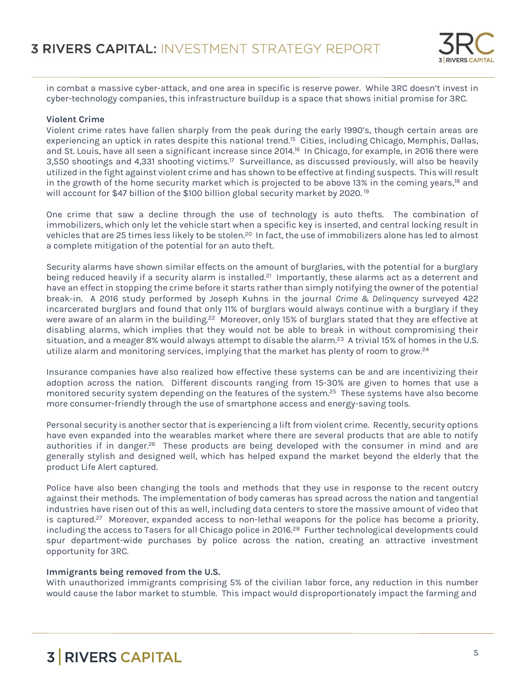

in combat a massive cyber-attack, and one area in specific is reserve power. While 3RC doesn't invest in cyber-technology companies, this infrastructure buildup is a space that shows initial promise for 3RC.

#### **Violent Crime**

Violent crime rates have fallen sharply from the peak during the early 1990's, though certain areas are experiencing an uptick in rates despite this national trend.<sup>15</sup> Cities, including Chicago, Memphis, Dallas, and St. Louis, have all seen a significant increase since 2014.<sup>16</sup> In Chicago, for example, in 2016 there were 3,550 shootings and 4,331 shooting victims.<sup>17</sup> Surveillance, as discussed previously, will also be heavily utilized in the fight against violent crime and has shown to be effective at finding suspects. This will result in the growth of the home security market which is projected to be above 13% in the coming years,<sup>18</sup> and will account for \$47 billion of the \$100 billion global security market by 2020.<sup>19</sup>

One crime that saw a decline through the use of technology is auto thefts. The combination of immobilizers, which only let the vehicle start when a specific key is inserted, and central locking result in vehicles that are 25 times less likely to be stolen.<sup>20</sup> In fact, the use of immobilizers alone has led to almost a complete mitigation of the potential for an auto theft.

Security alarms have shown similar effects on the amount of burglaries, with the potential for a burglary being reduced heavily if a security alarm is installed.<sup>21</sup> Importantly, these alarms act as a deterrent and have an effect in stopping the crime before it starts rather than simply notifying the owner of the potential break-in. A 2016 study performed by Joseph Kuhns in the journal *Crime & Delinquency* surveyed 422 incarcerated burglars and found that only 11% of burglars would always continue with a burglary if they were aware of an alarm in the building.<sup>22</sup> Moreover, only 15% of burglars stated that they are effective at disabling alarms, which implies that they would not be able to break in without compromising their situation, and a meager 8% would always attempt to disable the alarm.<sup>23</sup> A trivial 15% of homes in the U.S. utilize alarm and monitoring services, implying that the market has plenty of room to grow.<sup>24</sup>

Insurance companies have also realized how effective these systems can be and are incentivizing their adoption across the nation. Different discounts ranging from 15-30% are given to homes that use a monitored security system depending on the features of the system.<sup>25</sup> These systems have also become more consumer-friendly through the use of smartphone access and energy-saving tools.

Personal security is another sector that is experiencing a lift from violent crime. Recently, security options have even expanded into the wearables market where there are several products that are able to notify authorities if in danger.<sup>26</sup> These products are being developed with the consumer in mind and are generally stylish and designed well, which has helped expand the market beyond the elderly that the product Life Alert captured.

Police have also been changing the tools and methods that they use in response to the recent outcry against their methods. The implementation of body cameras has spread across the nation and tangential industries have risen out of this as well, including data centers to store the massive amount of video that is captured.<sup>27</sup> Moreover, expanded access to non-lethal weapons for the police has become a priority, including the access to Tasers for all Chicago police in 2016.<sup>28</sup> Further technological developments could spur department-wide purchases by police across the nation, creating an attractive investment opportunity for 3RC.

### **Immigrants being removed from the U.S.**

With unauthorized immigrants comprising 5% of the civilian labor force, any reduction in this number would cause the labor market to stumble. This impact would disproportionately impact the farming and